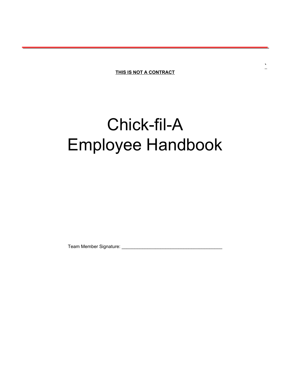**THIS IS NOT A CONTRACT**

**`**

# Chick-fil-A Employee Handbook

Team Member Signature: \_\_\_\_\_\_\_\_\_\_\_\_\_\_\_\_\_\_\_\_\_\_\_\_\_\_\_\_\_\_\_\_\_\_\_\_\_\_\_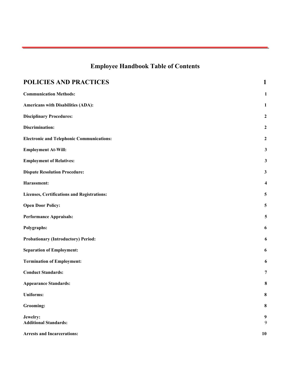# **Employee Handbook Table of Contents**

| POLICIES AND PRACTICES                           | $\mathbf{1}$            |
|--------------------------------------------------|-------------------------|
| <b>Communication Methods:</b>                    | $\mathbf{1}$            |
| Americans with Disabilities (ADA):               | $\mathbf{1}$            |
| <b>Disciplinary Procedures:</b>                  | $\boldsymbol{2}$        |
| Discrimination:                                  | $\boldsymbol{2}$        |
| <b>Electronic and Telephonic Communications:</b> | $\boldsymbol{2}$        |
| <b>Employment At-Will:</b>                       | $\mathbf{3}$            |
| <b>Employment of Relatives:</b>                  | $\mathbf{3}$            |
| <b>Dispute Resolution Procedure:</b>             | $\mathbf{3}$            |
| Harassment:                                      | $\overline{\mathbf{4}}$ |
| Licenses, Certifications and Registrations:      | $\overline{\mathbf{5}}$ |
| <b>Open Door Policy:</b>                         | 5                       |
| <b>Performance Appraisals:</b>                   | 5                       |
| Polygraphs:                                      | 6                       |
| <b>Probationary (Introductory) Period:</b>       | 6                       |
| <b>Separation of Employment:</b>                 | 6                       |
| <b>Termination of Employment:</b>                | 6                       |
| <b>Conduct Standards:</b>                        | $\overline{7}$          |
| <b>Appearance Standards:</b>                     | 8                       |
| <b>Uniforms:</b>                                 | 8                       |
| <b>Grooming:</b>                                 | 8                       |
| Jewelry:<br><b>Additional Standards:</b>         | 9<br>9                  |
| <b>Arrests and Incarcerations:</b>               | 10                      |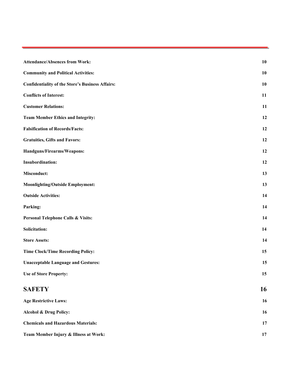| <b>Attendance/Absences from Work:</b>                   | 10 |
|---------------------------------------------------------|----|
| <b>Community and Political Activities:</b>              | 10 |
| <b>Confidentiality of the Store's Business Affairs:</b> | 10 |
| <b>Conflicts of Interest:</b>                           | 11 |
| <b>Customer Relations:</b>                              | 11 |
| <b>Team Member Ethics and Integrity:</b>                | 12 |
| <b>Falsification of Records/Facts:</b>                  | 12 |
| <b>Gratuities, Gifts and Favors:</b>                    | 12 |
| Handguns/Firearms/Weapons:                              | 12 |
| <b>Insubordination:</b>                                 | 12 |
| <b>Misconduct:</b>                                      | 13 |
| <b>Moonlighting/Outside Employment:</b>                 | 13 |
| <b>Outside Activities:</b>                              | 14 |
| Parking:                                                | 14 |
| Personal Telephone Calls & Visits:                      | 14 |
| <b>Solicitation:</b>                                    | 14 |
| <b>Store Assets:</b>                                    | 14 |
| <b>Time Clock/Time Recording Policy:</b>                | 15 |
| <b>Unacceptable Language and Gestures:</b>              | 15 |
| <b>Use of Store Property:</b>                           | 15 |
| <b>SAFETY</b>                                           | 16 |
| <b>Age Restrictive Laws:</b>                            | 16 |
| Alcohol & Drug Policy:                                  | 16 |
| <b>Chemicals and Hazardous Materials:</b>               | 17 |
| Team Member Injury & Illness at Work:                   | 17 |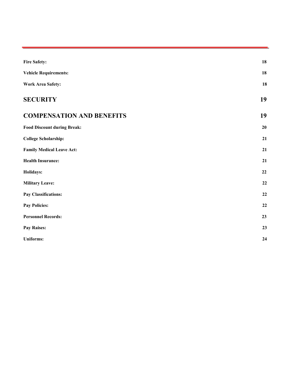<span id="page-3-0"></span>

| <b>Fire Safety:</b>                | 18        |
|------------------------------------|-----------|
| <b>Vehicle Requirements:</b>       | 18        |
| <b>Work Area Safety:</b>           | 18        |
| <b>SECURITY</b>                    | 19        |
| <b>COMPENSATION AND BENEFITS</b>   | 19        |
| <b>Food Discount during Break:</b> | 20        |
| <b>College Scholarship:</b>        | 21        |
| <b>Family Medical Leave Act:</b>   | 21        |
| <b>Health Insurance:</b>           | 21        |
| Holidays:                          | 22        |
| <b>Military Leave:</b>             | 22        |
| Pay Classifications:               | 22        |
| <b>Pay Policies:</b>               | $\bf{22}$ |
| <b>Personnel Records:</b>          | 23        |
| Pay Raises:                        | 23        |
| <b>Uniforms:</b>                   | 24        |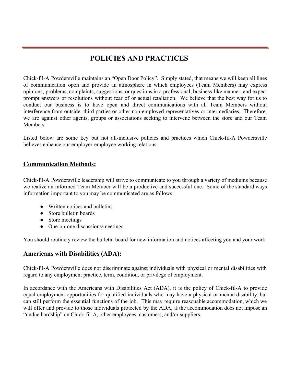## **POLICIES AND PRACTICES**

Chick-fil-A Powdersville maintains an "Open Door Policy". Simply stated, that means we will keep all lines of communication open and provide an atmosphere in which employees (Team Members) may express opinions, problems, complaints, suggestions, or questions in a professional, business-like manner, and expect prompt answers or resolutions without fear of or actual retaliation. We believe that the best way for us to conduct our business is to have open and direct communications with all Team Members without interference from outside, third parties or other non-employed representatives or intermediaries. Therefore, we are against other agents, groups or associations seeking to intervene between the store and our Team Members.

Listed below are some key but not all-inclusive policies and practices which Chick-fil-A Powdersville believes enhance our employer-employee working relations:

## <span id="page-4-0"></span>**Communication Methods:**

Chick-fil-A Powdersville leadership will strive to communicate to you through a variety of mediums because we realize an informed Team Member will be a productive and successful one. Some of the standard ways information important to you may be communicated are as follows:

- Written notices and bulletins
- Store bulletin boards
- Store meetings
- One-on-one discussions/meetings

You should routinely review the bulletin board for new information and notices affecting you and your work.

## <span id="page-4-1"></span>**Americans with Disabilities (ADA):**

Chick-fil-A Powdersville does not discriminate against individuals with physical or mental disabilities with regard to any employment practice, term, condition, or privilege of employment.

In accordance with the Americans with Disabilities Act (ADA), it is the policy of Chick-fil-A to provide equal employment opportunities for qualified individuals who may have a physical or mental disability, but can still perform the essential functions of the job. This may require reasonable accommodation, which we will offer and provide to those individuals protected by the ADA, if the accommodation does not impose an "undue hardship" on Chick-fil-A, other employees, customers, and/or suppliers.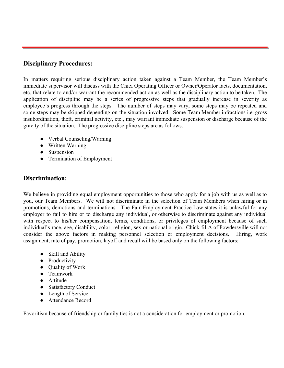## <span id="page-5-0"></span>**Disciplinary Procedures:**

In matters requiring serious disciplinary action taken against a Team Member, the Team Member's immediate supervisor will discuss with the Chief Operating Officer or Owner/Operator facts, documentation, etc. that relate to and/or warrant the recommended action as well as the disciplinary action to be taken. The application of discipline may be a series of progressive steps that gradually increase in severity as employee's progress through the steps. The number of steps may vary, some steps may be repeated and some steps may be skipped depending on the situation involved. Some Team Member infractions i.e. gross insubordination, theft, criminal activity, etc., may warrant immediate suspension or discharge because of the gravity of the situation. The progressive discipline steps are as follows:

- Verbal Counseling/Warning
- Written Warning
- Suspension
- Termination of Employment

## <span id="page-5-1"></span>**Discrimination:**

We believe in providing equal employment opportunities to those who apply for a job with us as well as to you, our Team Members. We will not discriminate in the selection of Team Members when hiring or in promotions, demotions and terminations. The Fair Employment Practice Law states it is unlawful for any employer to fail to hire or to discharge any individual, or otherwise to discriminate against any individual with respect to his/her compensation, terms, conditions, or privileges of employment because of such individual's race, age, disability, color, religion, sex or national origin. Chick-fil-A of Powdersville will not consider the above factors in making personnel selection or employment decisions. Hiring, work assignment, rate of pay, promotion, layoff and recall will be based only on the following factors:

- Skill and Ability
- Productivity
- Quality of Work
- Teamwork
- Attitude
- Satisfactory Conduct
- Length of Service
- Attendance Record

Favoritism because of friendship or family ties is not a consideration for employment or promotion.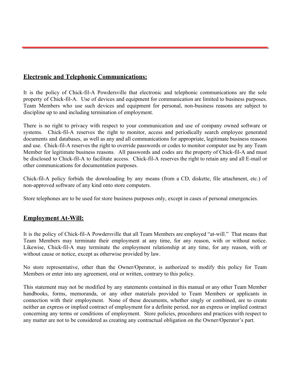## <span id="page-6-0"></span>**Electronic and Telephonic Communications:**

It is the policy of Chick-fil-A Powdersville that electronic and telephonic communications are the sole property of Chick-fil-A. Use of devices and equipment for communication are limited to business purposes. Team Members who use such devices and equipment for personal, non-business reasons are subject to discipline up to and including termination of employment.

There is no right to privacy with respect to your communication and use of company owned software or systems. Chick-fil-A reserves the right to monitor, access and periodically search employee generated documents and databases, as well as any and all communications for appropriate, legitimate business reasons and use. Chick-fil-A reserves the right to override passwords or codes to monitor computer use by any Team Member for legitimate business reasons. All passwords and codes are the property of Chick-fil-A and must be disclosed to Chick-fil-A to facilitate access. Chick-fil-A reserves the right to retain any and all E-mail or other communications for documentation purposes.

Chick-fil-A policy forbids the downloading by any means (from a CD, diskette, file attachment, etc.) of non-approved software of any kind onto store computers.

Store telephones are to be used for store business purposes only, except in cases of personal emergencies.

## <span id="page-6-1"></span>**Employment At-Will:**

It is the policy of Chick-fil-A Powdersville that all Team Members are employed "at-will." That means that Team Members may terminate their employment at any time, for any reason, with or without notice. Likewise, Chick-fil-A may terminate the employment relationship at any time, for any reason, with or without cause or notice, except as otherwise provided by law.

No store representative, other than the Owner/Operator, is authorized to modify this policy for Team Members or enter into any agreement, oral or written, contrary to this policy.

This statement may not be modified by any statements contained in this manual or any other Team Member handbooks, forms, memoranda, or any other materials provided to Team Members or applicants in connection with their employment. None of these documents, whether singly or combined, are to create neither an express or implied contract of employment for a definite period, nor an express or implied contract concerning any terms or conditions of employment. Store policies, procedures and practices with respect to any matter are not to be considered as creating any contractual obligation on the Owner/Operator's part.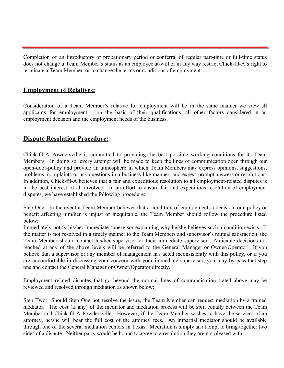Completion of an introductory or probationary period or conferral of regular part-time or full-time status does not change a Team Member's status as an employee at-will or in any way restrict Chick-fil-A's right to terminate a Team Member or to change the terms or conditions of employment.

## <span id="page-7-0"></span>**Employment of Relatives:**

Consideration of a Team Member's relative for employment will be in the same manner we view all applicants for employment – on the basis of their qualifications, all other factors considered in an employment decision and the employment needs of the business.

## <span id="page-7-1"></span>**Dispute Resolution Procedure:**

Chick-fil-A Powdersville is committed to providing the best possible working conditions for its Team Members. In doing so, every attempt will be made to keep the lines of communication open through our open-door-policy and provide an atmosphere in which Team Members may express opinions, suggestions, problems, complaints or ask questions in a business-like manner, and expect prompt answers or resolutions. In addition, Chick-fil-A believes that a fair and expeditious resolution to all employment-related disputes is in the best interest of all involved. In an effort to ensure fair and expeditious resolution of employment disputes, we have established the following procedure:

Step One: In the event a Team Member believes that a condition of employment, a decision, or a policy or benefit affecting him/her is unjust or inequitable, the Team Member should follow the procedure listed below:

Immediately notify his/her immediate supervisor explaining why he/she believes such a condition exists. If the matter is not resolved in a timely manner to the Team Members and supervisor's mutual satisfaction, the Team Member should contact his/her supervisor or their immediate supervisor. Amicable decisions not reached at any of the above levels will be referred to the General Manager or Owner/Operator. If you believe that a supervisor or any member of management has acted inconsistently with this policy, or if you are uncomfortable in discussing your concern with your immediate supervisor, you may by-pass that step one and contact the General Manager or Owner/Operator directly.

Employment related disputes that go beyond the normal lines of communication stated above may be reviewed and resolved through mediation as shown below:

Step Two: Should Step One not resolve the issue, the Team Member can request mediation by a trained mediator. The cost (if any) of the mediator and mediation process will be split equally between the Team Member and Chick-fil-A Powdersville. However, if the Team Member wishes to have the services of an attorney, he/she will bear the full cost of the attorney fees. An impartial mediator should be available through one of the several mediation centers in Texas. Mediation is simply an attempt to bring together two sides of a dispute. Neither party would be bound to agree to a resolution they are not pleased with.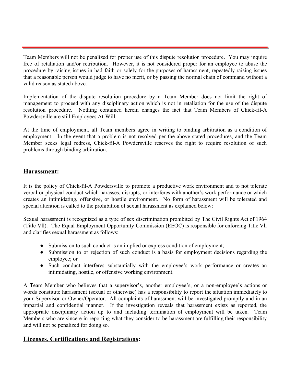Team Members will not be penalized for proper use of this dispute resolution procedure. You may inquire free of retaliation and/or retribution. However, it is not considered proper for an employee to abuse the procedure by raising issues in bad faith or solely for the purposes of harassment, repeatedly raising issues that a reasonable person would judge to have no merit, or by passing the normal chain of command without a valid reason as stated above.

Implementation of the dispute resolution procedure by a Team Member does not limit the right of management to proceed with any disciplinary action which is not in retaliation for the use of the dispute resolution procedure. Nothing contained herein changes the fact that Team Members of Chick-fil-A Powdersville are still Employees At-Will.

At the time of employment, all Team members agree in writing to binding arbitration as a condition of employment. In the event that a problem is not resolved per the above stated procedures, and the Team Member seeks legal redress, Chick-fil-A Powdersville reserves the right to require resolution of such problems through binding arbitration.

## <span id="page-8-0"></span>**Harassment:**

It is the policy of Chick-fil-A Powdersville to promote a productive work environment and to not tolerate verbal or physical conduct which harasses, disrupts, or interferes with another's work performance or which creates an intimidating, offensive, or hostile environment. No form of harassment will be tolerated and special attention is called to the prohibition of sexual harassment as explained below:

Sexual harassment is recognized as a type of sex discrimination prohibited by The Civil Rights Act of 1964 (Title Vll). The Equal Employment Opportunity Commission (EEOC) is responsible for enforcing Title Vll and clarifies sexual harassment as follows:

- Submission to such conduct is an implied or express condition of employment;
- Submission to or rejection of such conduct is a basis for employment decisions regarding the employee; or
- Such conduct interferes substantially with the employee's work performance or creates an intimidating, hostile, or offensive working environment.

A Team Member who believes that a supervisor's, another employee's, or a non-employee's actions or words constitute harassment (sexual or otherwise) has a responsibility to report the situation immediately to your Supervisor or Owner/Operator. All complaints of harassment will be investigated promptly and in an impartial and confidential manner. If the investigation reveals that harassment exists as reported, the appropriate disciplinary action up to and including termination of employment will be taken. Team Members who are sincere in reporting what they consider to be harassment are fulfilling their responsibility and will not be penalized for doing so.

## <span id="page-8-1"></span>**Licenses, Certifications and Registrations:**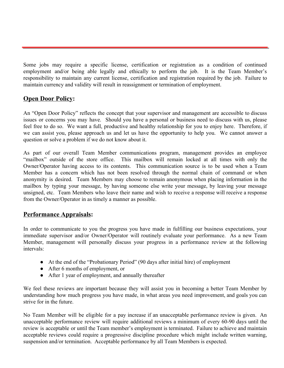Some jobs may require a specific license, certification or registration as a condition of continued employment and/or being able legally and ethically to perform the job. It is the Team Member's responsibility to maintain any current license, certification and registration required by the job. Failure to maintain currency and validity will result in reassignment or termination of employment.

## <span id="page-9-0"></span>**Open Door Policy:**

An "Open Door Policy" reflects the concept that your supervisor and management are accessible to discuss issues or concerns you may have. Should you have a personal or business need to discuss with us, please feel free to do so. We want a full, productive and healthy relationship for you to enjoy here. Therefore, if we can assist you, please approach us and let us have the opportunity to help you. We cannot answer a question or solve a problem if we do not know about it.

As part of our overall Team Member communications program, management provides an employee "mailbox" outside of the store office. This mailbox will remain locked at all times with only the Owner/Operator having access to its contents. This communication source is to be used when a Team Member has a concern which has not been resolved through the normal chain of command or when anonymity is desired. Team Members may choose to remain anonymous when placing information in the mailbox by typing your message, by having someone else write your message, by leaving your message unsigned, etc. Team Members who leave their name and wish to receive a response will receive a response from the Owner/Operator in as timely a manner as possible.

## <span id="page-9-1"></span>**Performance Appraisals:**

In order to communicate to you the progress you have made in fulfilling our business expectations, your immediate supervisor and/or Owner/Operator will routinely evaluate your performance. As a new Team Member, management will personally discuss your progress in a performance review at the following intervals:

- At the end of the "Probationary Period" (90 days after initial hire) of employment
- After 6 months of employment, or
- After 1 year of employment, and annually thereafter

We feel these reviews are important because they will assist you in becoming a better Team Member by understanding how much progress you have made, in what areas you need improvement, and goals you can strive for in the future.

No Team Member will be eligible for a pay increase if an unacceptable performance review is given. An unacceptable performance review will require additional reviews a minimum of every 60-90 days until the review is acceptable or until the Team member's employment is terminated. Failure to achieve and maintain acceptable reviews could require a progressive discipline procedure which might include written warning, suspension and/or termination. Acceptable performance by all Team Members is expected.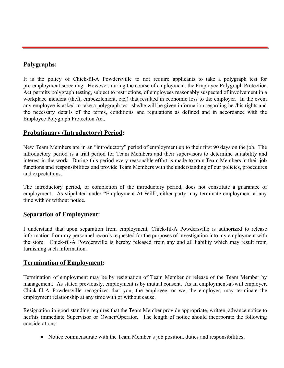## <span id="page-10-0"></span>**Polygraphs:**

It is the policy of Chick-fil-A Powdersville to not require applicants to take a polygraph test for pre-employment screening. However, during the course of employment, the Employee Polygraph Protection Act permits polygraph testing, subject to restrictions, of employees reasonably suspected of involvement in a workplace incident (theft, embezzlement, etc,) that resulted in economic loss to the employer. In the event any employee is asked to take a polygraph test, she/he will be given information regarding her/his rights and the necessary details of the terms, conditions and regulations as defined and in accordance with the Employee Polygraph Protection Act.

## <span id="page-10-1"></span>**Probationary (Introductory) Period:**

New Team Members are in an "introductory" period of employment up to their first 90 days on the job. The introductory period is a trial period for Team Members and their supervisors to determine suitability and interest in the work. During this period every reasonable effort is made to train Team Members in their job functions and responsibilities and provide Team Members with the understanding of our policies, procedures and expectations.

The introductory period, or completion of the introductory period, does not constitute a guarantee of employment. As stipulated under "Employment At-Will", either party may terminate employment at any time with or without notice.

## <span id="page-10-2"></span>**Separation of Employment:**

I understand that upon separation from employment, Chick-fil-A Powdersville is authorized to release information from my personnel records requested for the purposes of investigation into my employment with the store. Chick-fil-A Powdersville is hereby released from any and all liability which may result from furnishing such information.

## <span id="page-10-3"></span>**Termination of Employment:**

Termination of employment may be by resignation of Team Member or release of the Team Member by management. As stated previously, employment is by mutual consent. As an employment-at-will employer, Chick-fil-A Powdersville recognizes that you, the employee, or we, the employer, may terminate the employment relationship at any time with or without cause.

Resignation in good standing requires that the Team Member provide appropriate, written, advance notice to her/his immediate Supervisor or Owner/Operator. The length of notice should incorporate the following considerations:

• Notice commensurate with the Team Member's job position, duties and responsibilities;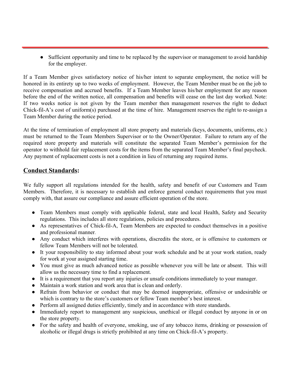• Sufficient opportunity and time to be replaced by the supervisor or management to avoid hardship for the employer.

If a Team Member gives satisfactory notice of his/her intent to separate employment, the notice will be honored in its entirety up to two weeks of employment. However, the Team Member must be on the job to receive compensation and accrued benefits. If a Team Member leaves his/her employment for any reason before the end of the written notice, all compensation and benefits will cease on the last day worked. Note: If two weeks notice is not given by the Team member then management reserves the right to deduct Chick-fil-A's cost of uniform(s) purchased at the time of hire. Management reserves the right to re-assign a Team Member during the notice period.

At the time of termination of employment all store property and materials (keys, documents, uniforms, etc.) must be returned to the Team Members Supervisor or to the Owner/Operator. Failure to return any of the required store property and materials will constitute the separated Team Member's permission for the operator to withhold fair replacement costs for the items from the separated Team Member's final paycheck. Any payment of replacement costs is not a condition in lieu of returning any required items.

## <span id="page-11-0"></span>**Conduct Standards:**

We fully support all regulations intended for the health, safety and benefit of our Customers and Team Members. Therefore, it is necessary to establish and enforce general conduct requirements that you must comply with, that assure our compliance and assure efficient operation of the store.

- Team Members must comply with applicable federal, state and local Health, Safety and Security regulations. This includes all store regulations, policies and procedures.
- As representatives of Chick-fil-A, Team Members are expected to conduct themselves in a positive and professional manner.
- Any conduct which interferes with operations, discredits the store, or is offensive to customers or fellow Team Members will not be tolerated.
- It your responsibility to stay informed about your work schedule and be at your work station, ready for work at your assigned starting time.
- You must give as much advanced notice as possible whenever you will be late or absent. This will allow us the necessary time to find a replacement.
- It is a requirement that you report any injuries or unsafe conditions immediately to your manager.
- Maintain a work station and work area that is clean and orderly.
- Refrain from behavior or conduct that may be deemed inappropriate, offensive or undesirable or which is contrary to the store's customers or fellow Team member's best interest.
- Perform all assigned duties efficiently, timely and in accordance with store standards.
- Immediately report to management any suspicious, unethical or illegal conduct by anyone in or on the store property.
- For the safety and health of everyone, smoking, use of any tobacco items, drinking or possession of alcoholic or illegal drugs is strictly prohibited at any time on Chick-fil-A's property.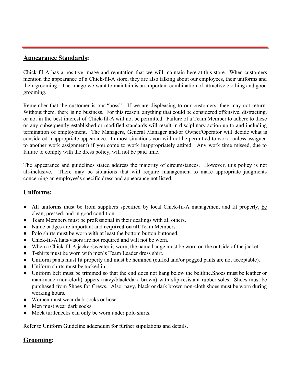## <span id="page-12-0"></span>**Appearance Standards:**

Chick-fil-A has a positive image and reputation that we will maintain here at this store. When customers mention the appearance of a Chick-fil-A store, they are also talking about our employees, their uniforms and their grooming. The image we want to maintain is an important combination of attractive clothing and good grooming.

Remember that the customer is our "boss". If we are displeasing to our customers, they may not return. Without them, there is no business. For this reason, anything that could be considered offensive, distracting, or not in the best interest of Chick-fil-A will not be permitted. Failure of a Team Member to adhere to these or any subsequently established or modified standards will result in disciplinary action up to and including termination of employment. The Managers, General Manager and/or Owner/Operator will decide what is considered inappropriate appearance. In most situations you will not be permitted to work (unless assigned to another work assignment) if you come to work inappropriately attired. Any work time missed, due to failure to comply with the dress policy, will not be paid time.

The appearance and guidelines stated address the majority of circumstances. However, this policy is not all-inclusive. There may be situations that will require management to make appropriate judgments concerning an employee's specific dress and appearance not listed.

## <span id="page-12-1"></span>**Uniforms:**

- All uniforms must be from suppliers specified by local Chick-fil-A management and fit properly, be clean, pressed, and in good condition.
- Team Members must be professional in their dealings with all others.
- Name badges are important and **required on all** Team Members
- Polo shirts must be worn with at least the bottom button buttoned.
- Chick-fil-A hats/visors are not required and will not be worn.
- When a Chick-fil-A jacket/sweater is worn, the name badge must be worn on the outside of the jacket.
- T-shirts must be worn with men's Team Leader dress shirt.
- Uniform pants must fit properly and must be hemmed (cuffed and/or pegged pants are not acceptable).
- Uniform shirts must be tucked in.
- Uniform belt must be trimmed so that the end does not hang below the beltline.Shoes must be leather or man-made (non-cloth) uppers (navy/black/dark brown) with slip-resistant rubber soles. Shoes must be purchased from Shoes for Crews. Also, navy, black or dark brown non-cloth shoes must be worn during working hours.
- Women must wear dark socks or hose.
- Men must wear dark socks.
- Mock turtlenecks can only be worn under polo shirts.

Refer to Uniform Guideline addendum for further stipulations and details.

## <span id="page-12-2"></span>**Grooming:**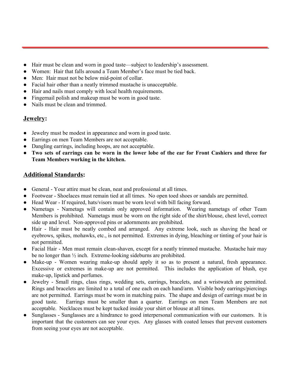- Hair must be clean and worn in good taste—subject to leadership's assessment.
- Women: Hair that falls around a Team Member's face must be tied back.
- Men: Hair must not be below mid-point of collar.
- Facial hair other than a neatly trimmed mustache is unacceptable.
- Hair and nails must comply with local health requirements.
- Fingernail polish and makeup must be worn in good taste.
- Nails must be clean and trimmed.

## <span id="page-13-0"></span>**Jewelry:**

- Jewelry must be modest in appearance and worn in good taste.
- Earrings on men Team Members are not acceptable.
- Dangling earrings, including hoops, are not acceptable.
- Two sets of earrings can be worn in the lower lobe of the ear for Front Cashiers and three for **Team Members working in the kitchen.**

## <span id="page-13-1"></span>**Additional Standards:**

- General Your attire must be clean, neat and professional at all times.
- Footwear Shoelaces must remain tied at all times. No open toed shoes or sandals are permitted.
- Head Wear If required, hats/visors must be worn level with bill facing forward.
- Nametags Nametags will contain only approved information. Wearing nametags of other Team Members is prohibited. Nametags must be worn on the right side of the shirt/blouse, chest level, correct side up and level. Non-approved pins or adornments are prohibited.
- Hair Hair must be neatly combed and arranged. Any extreme look, such as shaving the head or eyebrows, spikes, mohawks, etc., is not permitted. Extremes in dying, bleaching or tinting of your hair is not permitted.
- Facial Hair Men must remain clean-shaven, except for a neatly trimmed mustache. Mustache hair may be no longer than ½ inch. Extreme-looking sideburns are prohibited.
- Make-up Women wearing make-up should apply it so as to present a natural, fresh appearance. Excessive or extremes in make-up are not permitted. This includes the application of blush, eye make-up, lipstick and perfumes.
- Jewelry Small rings, class rings, wedding sets, earrings, bracelets, and a wristwatch are permitted. Rings and bracelets are limited to a total of one each on each hand/arm. Visible body earrings/piercings are not permitted. Earrings must be worn in matching pairs. The shape and design of earrings must be in good taste. Earrings must be smaller than a quarter. Earrings on men Team Members are not acceptable. Necklaces must be kept tucked inside your shirt or blouse at all times.
- Sunglasses Sunglasses are a hindrance to good interpersonal communication with our customers. It is important that the customers can see your eyes. Any glasses with coated lenses that prevent customers from seeing your eyes are not acceptable.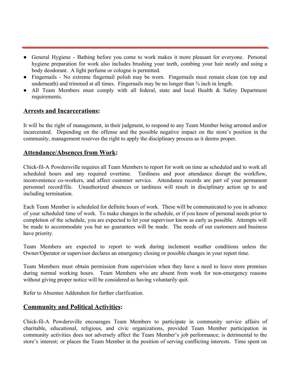- General Hygiene Bathing before you come to work makes it more pleasant for everyone. Personal hygiene preparation for work also includes brushing your teeth, combing your hair neatly and using a body deodorant. A light perfume or cologne is permitted.
- Fingernails No extreme fingernail polish may be worn. Fingernails must remain clean (on top and underneath) and trimmed at all times. Fingernails may be no longer than  $\frac{3}{4}$  inch in length.
- All Team Members must comply with all federal, state and local Health & Safety Department requirements.

## <span id="page-14-0"></span>**Arrests and Incarcerations:**

It will be the right of management, in their judgment, to respond to any Team Member being arrested and/or incarcerated. Depending on the offense and the possible negative impact on the store's position in the community, management reserves the right to apply the disciplinary process as it deems proper.

## <span id="page-14-1"></span>**Attendance/Absences from Work:**

Chick-fil-A Powdersville requires all Team Members to report for work on time as scheduled and to work all scheduled hours and any required overtime. Tardiness and poor attendance disrupt the workflow, inconvenience co-workers, and affect customer service. Attendance records are part of your permanent personnel record/file. Unauthorized absences or tardiness will result in disciplinary action up to and including termination.

Each Team Member is scheduled for definite hours of work. These will be communicated to you in advance of your scheduled time of work. To make changes in the schedule, or if you know of personal needs prior to completion of the schedule, you are expected to let your supervisor know as early as possible. Attempts will be made to accommodate you but no guarantees will be made. The needs of our customers and business have priority.

Team Members are expected to report to work during inclement weather conditions unless the Owner/Operator or supervisor declares an emergency closing or possible changes in your report time.

Team Members must obtain permission from supervision when they have a need to leave store premises during normal working hours. Team Members who are absent from work for non-emergency reasons without giving proper notice will be considered as having voluntarily quit.

Refer to Absentee Addendum for further clarification.

## <span id="page-14-2"></span>**Community and Political Activities:**

Chick-fil-A Powdersville encourages Team Members to participate in community service affairs of charitable, educational, religious, and civic organizations, provided Team Member participation in community activities does not adversely affect the Team Member's job performance; is detrimental to the store's interest; or places the Team Member in the position of serving conflicting interests. Time spent on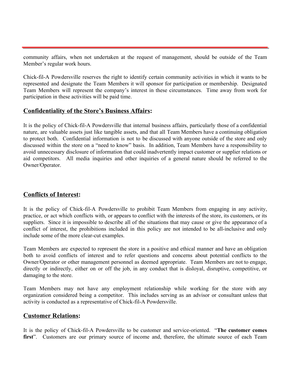community affairs, when not undertaken at the request of management, should be outside of the Team Member's regular work hours.

Chick-fil-A Powdersville reserves the right to identify certain community activities in which it wants to be represented and designate the Team Members it will sponsor for participation or membership. Designated Team Members will represent the company's interest in these circumstances. Time away from work for participation in these activities will be paid time.

## <span id="page-15-0"></span>**Confidentiality of the Store's Business Affairs:**

It is the policy of Chick-fil-A Powdersville that internal business affairs, particularly those of a confidential nature, are valuable assets just like tangible assets, and that all Team Members have a continuing obligation to protect both. Confidential information is not to be discussed with anyone outside of the store and only discussed within the store on a "need to know" basis. In addition, Team Members have a responsibility to avoid unnecessary disclosure of information that could inadvertently impact customer or supplier relations or aid competitors. All media inquiries and other inquiries of a general nature should be referred to the Owner/Operator.

## <span id="page-15-1"></span>**Conflicts of Interest:**

It is the policy of Chick-fil-A Powdersville to prohibit Team Members from engaging in any activity, practice, or act which conflicts with, or appears to conflict with the interests of the store, its customers, or its suppliers. Since it is impossible to describe all of the situations that may cause or give the appearance of a conflict of interest, the prohibitions included in this policy are not intended to be all-inclusive and only include some of the more clear-cut examples.

Team Members are expected to represent the store in a positive and ethical manner and have an obligation both to avoid conflicts of interest and to refer questions and concerns about potential conflicts to the Owner/Operator or other management personnel as deemed appropriate. Team Members are not to engage, directly or indirectly, either on or off the job, in any conduct that is disloyal, disruptive, competitive, or damaging to the store.

Team Members may not have any employment relationship while working for the store with any organization considered being a competitor. This includes serving as an advisor or consultant unless that activity is conducted as a representative of Chick-fil-A Powdersville.

### <span id="page-15-2"></span>**Customer Relations:**

It is the policy of Chick-fil-A Powdersville to be customer and service-oriented. "**The customer comes first**". Customers are our primary source of income and, therefore, the ultimate source of each Team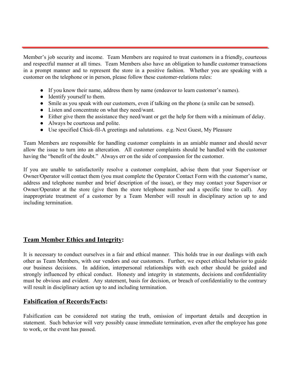Member's job security and income. Team Members are required to treat customers in a friendly, courteous and respectful manner at all times. Team Members also have an obligation to handle customer transactions in a prompt manner and to represent the store in a positive fashion. Whether you are speaking with a customer on the telephone or in person, please follow these customer-relations rules:

- If you know their name, address them by name (endeavor to learn customer's names).
- Identify yourself to them.
- Smile as you speak with our customers, even if talking on the phone (a smile can be sensed).
- Listen and concentrate on what they need/want.
- Either give them the assistance they need/want or get the help for them with a minimum of delay.
- Always be courteous and polite.
- Use specified Chick-fil-A greetings and salutations. e.g. Next Guest, My Pleasure

Team Members are responsible for handling customer complaints in an amiable manner and should never allow the issue to turn into an altercation. All customer complaints should be handled with the customer having the "benefit of the doubt." Always err on the side of compassion for the customer.

If you are unable to satisfactorily resolve a customer complaint, advise them that your Supervisor or Owner/Operator will contact them (you must complete the Operator Contact Form with the customer's name, address and telephone number and brief description of the issue), or they may contact your Supervisor or Owner/Operator at the store (give them the store telephone number and a specific time to call). Any inappropriate treatment of a customer by a Team Member will result in disciplinary action up to and including termination.

## <span id="page-16-0"></span>**Team Member Ethics and Integrity:**

It is necessary to conduct ourselves in a fair and ethical manner. This holds true in our dealings with each other as Team Members, with our vendors and our customers. Further, we expect ethical behavior to guide our business decisions. In addition, interpersonal relationships with each other should be guided and strongly influenced by ethical conduct. Honesty and integrity in statements, decisions and confidentiality must be obvious and evident. Any statement, basis for decision, or breach of confidentiality to the contrary will result in disciplinary action up to and including termination.

## <span id="page-16-1"></span>**Falsification of Records/Facts:**

Falsification can be considered not stating the truth, omission of important details and deception in statement. Such behavior will very possibly cause immediate termination, even after the employee has gone to work, or the event has passed.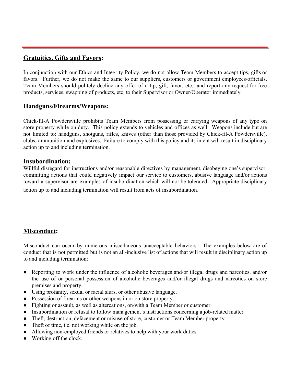## <span id="page-17-0"></span>**Gratuities, Gifts and Favors:**

In conjunction with our Ethics and Integrity Policy, we do not allow Team Members to accept tips, gifts or favors. Further, we do not make the same to our suppliers, customers or government employees/officials. Team Members should politely decline any offer of a tip, gift, favor, etc., and report any request for free products, services, swapping of products, etc. to their Supervisor or Owner/Operator immediately.

## <span id="page-17-1"></span>**Handguns/Firearms/Weapons:**

Chick-fil-A Powdersville prohibits Team Members from possessing or carrying weapons of any type on store property while on duty. This policy extends to vehicles and offices as well. Weapons include but are not limited to: handguns, shotguns, rifles, knives (other than those provided by Chick-fil-A Powdersville), clubs, ammunition and explosives. Failure to comply with this policy and its intent will result in disciplinary action up to and including termination.

### <span id="page-17-2"></span>**Insubordination:**

Willful disregard for instructions and/or reasonable directives by management, disobeying one's supervisor, committing actions that could negatively impact our service to customers, abusive language and/or actions toward a supervisor are examples of insubordination which will not be tolerated. Appropriate disciplinary action up to and including termination will result from acts of insubordination.

## <span id="page-17-3"></span>**Misconduct:**

Misconduct can occur by numerous miscellaneous unacceptable behaviors. The examples below are of conduct that is not permitted but is not an all-inclusive list of actions that will result in disciplinary action up to and including termination:

- Reporting to work under the influence of alcoholic beverages and/or illegal drugs and narcotics, and/or the use of or personal possession of alcoholic beverages and/or illegal drugs and narcotics on store premises and property.
- Using profanity, sexual or racial slurs, or other abusive language.
- Possession of firearms or other weapons in or on store property.
- Fighting or assault, as well as altercations, on/with a Team Member or customer.
- Insubordination or refusal to follow management's instructions concerning a job-related matter.
- Theft, destruction, defacement or misuse of store, customer or Team Member property.
- Theft of time, i.e. not working while on the job.
- Allowing non-employed friends or relatives to help with your work duties.
- Working off the clock.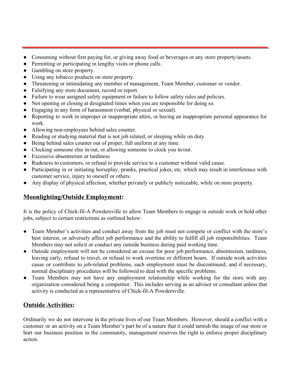- Consuming without first paying for, or giving away food or beverages or any store property/assets.
- Permitting or participating in lengthy visits or phone calls.
- Gambling on store property.
- Using any tobacco products on store property.
- Threatening or intimidating any member of management, Team Member, customer or vendor.
- Falsifying any store document, record or report.
- Failure to wear assigned safety equipment or failure to follow safety rules and policies.
- Not opening or closing at designated times when you are responsible for doing so.
- Engaging in any form of harassment (verbal, physical or sexual).
- Reporting to work in improper or inappropriate attire, or having an inappropriate personal appearance for work.
- Allowing non-employees behind sales counter.
- Reading or studying material that is not job related, or sleeping while on duty.
- Being behind sales counter out of proper, full uniform at any time.
- Clocking someone else in/out, or allowing someone to clock you in/out.
- Excessive absenteeism or tardiness
- Rudeness to customers, or refusal to provide service to a customer without valid cause.
- Participating in or initiating horseplay, pranks, practical jokes, etc. which may result in interference with customer service, injury to oneself or others.
- Any display of physical affection, whether privately or publicly noticeable, while on store property.

## <span id="page-18-0"></span>**Moonlighting/Outside Employment:**

It is the policy of Chick-fil-A Powdersville to allow Team Members to engage in outside work or hold other jobs, subject to certain restrictions as outlined below:

- Team Member's activities and conduct away from the job must not compete or conflict with the store's best interest, or adversely affect job performance and the ability to fulfill all job responsibilities. Team Members may not solicit or conduct any outside business during paid working time.
- Outside employment will not be considered an excuse for poor job performance, absenteeism, tardiness, leaving early, refusal to travel, or refusal to work overtime or different hours. If outside work activities cause or contribute to job-related problems, such employment must be discontinued; and if necessary, normal disciplinary procedures will be followed to deal with the specific problems.
- Team Members may not have any employment relationship while working for the store with any organization considered being a competitor. This includes serving as an advisor or consultant unless that activity is conducted as a representative of Chick-fil-A Powdersville.

## <span id="page-18-1"></span>**Outside Activities:**

Ordinarily we do not intervene in the private lives of our Team Members. However, should a conflict with a customer or an activity on a Team Member's part be of a nature that it could tarnish the image of our store or hurt our business position in the community, management reserves the right to enforce proper disciplinary action.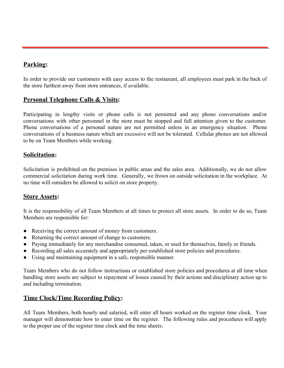## <span id="page-19-0"></span>**Parking:**

In order to provide our customers with easy access to the restaurant, all employees must park in the back of the store furthest away from store entrances, if available.

## <span id="page-19-1"></span>**Personal Telephone Calls & Visits:**

Participating in lengthy visits or phone calls is not permitted and any phone conversations and/or conversations with other personnel in the store must be stopped and full attention given to the customer. Phone conversations of a personal nature are not permitted unless in an emergency situation. Phone conversations of a business nature which are excessive will not be tolerated. Cellular phones are not allowed to be on Team Members while working.

## <span id="page-19-2"></span>**Solicitation:**

Solicitation is prohibited on the premises in public areas and the sales area. Additionally, we do not allow commercial solicitation during work time. Generally, we frown on outside solicitation in the workplace. At no time will outsiders be allowed to solicit on store property.

## <span id="page-19-3"></span>**Store Assets:**

It is the responsibility of all Team Members at all times to protect all store assets. In order to do so, Team Members are responsible for:

- Receiving the correct amount of money from customers.
- Returning the correct amount of change to customers.
- Paying immediately for any merchandise consumed, taken, or used for themselves, family or friends.
- Recording all sales accurately and appropriately per established store policies and procedures.
- Using and maintaining equipment in a safe, responsible manner.

Team Members who do not follow instructions or established store policies and procedures at all time when handling store assets are subject to repayment of losses caused by their actions and disciplinary action up to and including termination.

## <span id="page-19-4"></span>**Time Clock/Time Recording Policy:**

All Team Members, both hourly and salaried, will enter all hours worked on the register time clock. Your manager will demonstrate how to enter time on the register. The following rules and procedures will apply to the proper use of the register time clock and the time sheets: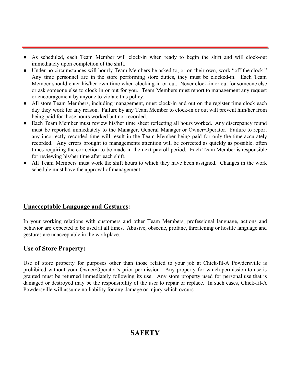- As scheduled, each Team Member will clock-in when ready to begin the shift and will clock-out immediately upon completion of the shift.
- Under no circumstances will hourly Team Members be asked to, or on their own, work "off the clock." Any time personnel are in the store performing store duties, they must be clocked-in. Each Team Member should enter his/her own time when clocking-in or out. Never clock-in or out for someone else or ask someone else to clock in or out for you. Team Members must report to management any request or encouragement by anyone to violate this policy.
- All store Team Members, including management, must clock-in and out on the register time clock each day they work for any reason. Failure by any Team Member to clock-in or out will prevent him/her from being paid for those hours worked but not recorded.
- Each Team Member must review his/her time sheet reflecting all hours worked. Any discrepancy found must be reported immediately to the Manager, General Manager or Owner/Operator. Failure to report any incorrectly recorded time will result in the Team Member being paid for only the time accurately recorded. Any errors brought to managements attention will be corrected as quickly as possible, often times requiring the correction to be made in the next payroll period. Each Team Member is responsible for reviewing his/her time after each shift.
- <span id="page-20-0"></span>● All Team Members must work the shift hours to which they have been assigned. Changes in the work schedule must have the approval of management.

## **Unacceptable Language and Gestures:**

In your working relations with customers and other Team Members, professional language, actions and behavior are expected to be used at all times. Abusive, obscene, profane, threatening or hostile language and gestures are unacceptable in the workplace.

## <span id="page-20-1"></span>**Use of Store Property:**

<span id="page-20-2"></span>Use of store property for purposes other than those related to your job at Chick-fil-A Powdersville is prohibited without your Owner/Operator's prior permission. Any property for which permission to use is granted must be returned immediately following its use. Any store property used for personal use that is damaged or destroyed may be the responsibility of the user to repair or replace. In such cases, Chick-fil-A Powdersville will assume no liability for any damage or injury which occurs.

## **SAFETY**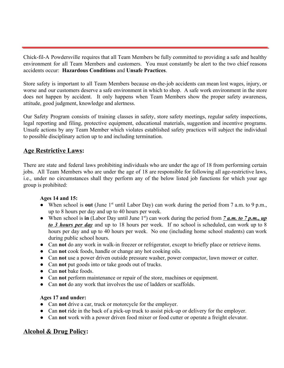Chick-fil-A Powdersville requires that all Team Members be fully committed to providing a safe and healthy environment for all Team Members and customers. You must constantly be alert to the two chief reasons accidents occur: **Hazardous Conditions** and **Unsafe Practices**.

Store safety is important to all Team Members because on-the-job accidents can mean lost wages, injury, or worse and our customers deserve a safe environment in which to shop. A safe work environment in the store does not happen by accident. It only happens when Team Members show the proper safety awareness, attitude, good judgment, knowledge and alertness.

Our Safety Program consists of training classes in safety, store safety meetings, regular safety inspections, legal reporting and filing, protective equipment, educational materials, suggestion and incentive programs. Unsafe actions by any Team Member which violates established safety practices will subject the individual to possible disciplinary action up to and including termination.

## <span id="page-21-0"></span>**Age Restrictive Laws:**

There are state and federal laws prohibiting individuals who are under the age of 18 from performing certain jobs. All Team Members who are under the age of 18 are responsible for following all age-restrictive laws, i.e., under no circumstances shall they perform any of the below listed job functions for which your age group is prohibited:

### **Ages 14 and 15:**

- When school is out (June 1<sup>st</sup> until Labor Day) can work during the period from 7 a.m. to 9 p.m., up to 8 hours per day and up to 40 hours per week.
- When school is in (Labor Day until June 1<sup>st</sup>) can work during the period from  $\frac{7 \text{ a.m. to } 7 \text{ p.m., up}}{2 \text{ m}}$ *to 3 hours per day* and up to 18 hours per week. If no school is scheduled, can work up to 8 hours per day and up to 40 hours per week. No one (including home school students) can work during public school hours.
- Can **not** do any work in walk-in freezer or refrigerator, except to briefly place or retrieve items.
- Can **not** cook foods, handle or change any hot cooking oils.
- Can **not** use a power driven outside pressure washer, power compactor, lawn mower or cutter.
- Can **not** put goods into or take goods out of trucks.
- Can **not** bake foods.
- Can **not** perform maintenance or repair of the store, machines or equipment.
- Can **not** do any work that involves the use of ladders or scaffolds.

### **Ages 17 and under:**

- Can **not** drive a car, truck or motorcycle for the employer.
- Can **not** ride in the back of a pick-up truck to assist pick-up or delivery for the employer.
- Can **not** work with a power driven food mixer or food cutter or operate a freight elevator.

## <span id="page-21-1"></span>**Alcohol & Drug Policy:**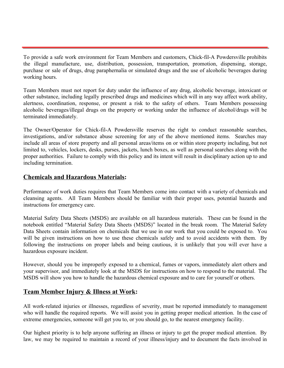To provide a safe work environment for Team Members and customers, Chick-fil-A Powdersville prohibits the illegal manufacture, use, distribution, possession, transportation, promotion, dispensing, storage, purchase or sale of drugs, drug paraphernalia or simulated drugs and the use of alcoholic beverages during working hours.

Team Members must not report for duty under the influence of any drug, alcoholic beverage, intoxicant or other substance, including legally prescribed drugs and medicines which will in any way affect work ability, alertness, coordination, response, or present a risk to the safety of others. Team Members possessing alcoholic beverages/illegal drugs on the property or working under the influence of alcohol/drugs will be terminated immediately.

The Owner/Operator for Chick-fil-A Powdersville reserves the right to conduct reasonable searches, investigations, and/or substance abuse screening for any of the above mentioned items. Searches may include all areas of store property and all personal areas/items on or within store property including, but not limited to, vehicles, lockers, desks, purses, jackets, lunch boxes, as well as personal searches along with the proper authorities. Failure to comply with this policy and its intent will result in disciplinary action up to and including termination.

## <span id="page-22-0"></span>**Chemicals and Hazardous Materials:**

Performance of work duties requires that Team Members come into contact with a variety of chemicals and cleansing agents. All Team Members should be familiar with their proper uses, potential hazards and instructions for emergency care.

Material Safety Data Sheets (MSDS) are available on all hazardous materials. These can be found in the notebook entitled "Material Safety Data Sheets (MSDS)" located in the break room. The Material Safety Data Sheets contain information on chemicals that we use in our work that you could be exposed to. You will be given instructions on how to use these chemicals safely and to avoid accidents with them. By following the instructions on proper labels and being cautious, it is unlikely that you will ever have a hazardous exposure incident.

However, should you be improperly exposed to a chemical, fumes or vapors, immediately alert others and your supervisor, and immediately look at the MSDS for instructions on how to respond to the material. The MSDS will show you how to handle the hazardous chemical exposure and to care for yourself or others.

## <span id="page-22-1"></span>**Team Member Injury & Illness at Work:**

All work-related injuries or illnesses, regardless of severity, must be reported immediately to management who will handle the required reports. We will assist you in getting proper medical attention. In the case of extreme emergencies, someone will get you to, or you should go, to the nearest emergency facility.

Our highest priority is to help anyone suffering an illness or injury to get the proper medical attention. By law, we may be required to maintain a record of your illness/injury and to document the facts involved in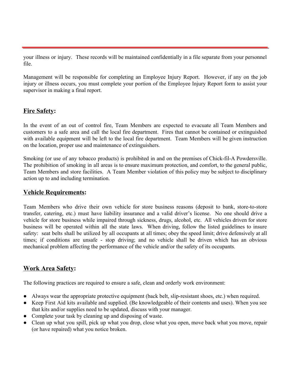your illness or injury. These records will be maintained confidentially in a file separate from your personnel file.

Management will be responsible for completing an Employee Injury Report. However, if any on the job injury or illness occurs, you must complete your portion of the Employee Injury Report form to assist your supervisor in making a final report.

## <span id="page-23-0"></span>**Fire Safety:**

In the event of an out of control fire, Team Members are expected to evacuate all Team Members and customers to a safe area and call the local fire department. Fires that cannot be contained or extinguished with available equipment will be left to the local fire department. Team Members will be given instruction on the location, proper use and maintenance of extinguishers.

Smoking (or use of any tobacco products) is prohibited in and on the premises of Chick-fil-A Powdersville. The prohibition of smoking in all areas is to ensure maximum protection, and comfort, to the general public, Team Members and store facilities. A Team Member violation of this policy may be subject to disciplinary action up to and including termination.

## <span id="page-23-1"></span>**Vehicle Requirements:**

Team Members who drive their own vehicle for store business reasons (deposit to bank, store-to-store transfer, catering, etc.) must have liability insurance and a valid driver's license. No one should drive a vehicle for store business while impaired through sickness, drugs, alcohol, etc. All vehicles driven for store business will be operated within all the state laws. When driving, follow the listed guidelines to insure safety: seat belts shall be utilized by all occupants at all times; obey the speed limit; drive defensively at all times; if conditions are unsafe - stop driving; and no vehicle shall be driven which has an obvious mechanical problem affecting the performance of the vehicle and/or the safety of its occupants.

## <span id="page-23-2"></span>**Work Area Safety:**

The following practices are required to ensure a safe, clean and orderly work environment:

- Always wear the appropriate protective equipment (back belt, slip-resistant shoes, etc.) when required.
- Keep First Aid kits available and supplied. (Be knowledgeable of their contents and uses). When you see that kits and/or supplies need to be updated, discuss with your manager.
- Complete your task by cleaning up and disposing of waste.
- Clean up what you spill, pick up what you drop, close what you open, move back what you move, repair (or have repaired) what you notice broken.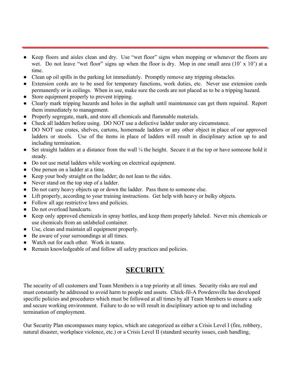- Keep floors and aisles clean and dry. Use "wet floor" signs when mopping or whenever the floors are wet. Do not leave "wet floor" signs up when the floor is dry. Mop in one small area (10' x 10') at a time.
- Clean up oil spills in the parking lot immediately. Promptly remove any tripping obstacles.
- Extension cords are to be used for temporary functions, work duties, etc. Never use extension cords permanently or in ceilings. When in use, make sure the cords are not placed as to be a tripping hazard.
- Store equipment properly to prevent tripping.
- Clearly mark tripping hazards and holes in the asphalt until maintenance can get them repaired. Report them immediately to management.
- Properly segregate, mark, and store all chemicals and flammable materials.
- Check all ladders before using. DO NOT use a defective ladder under any circumstance.
- DO NOT use crates, shelves, cartons, homemade ladders or any other object in place of our approved ladders or stools. Use of the items in place of ladders will result in disciplinary action up to and including termination.
- Set straight ladders at a distance from the wall <sup>1</sup>/<sub>4</sub> the height. Secure it at the top or have someone hold it steady.
- Do not use metal ladders while working on electrical equipment.
- One person on a ladder at a time.
- Keep your body straight on the ladder; do not lean to the sides.
- Never stand on the top step of a ladder.
- Do not carry heavy objects up or down the ladder. Pass them to someone else.
- Lift properly, according to your training instructions. Get help with heavy or bulky objects.
- Follow all age restrictive laws and policies.
- Do not overload handcarts.
- Keep only approved chemicals in spray bottles, and keep them properly labeled. Never mix chemicals or use chemicals from an unlabeled container.
- Use, clean and maintain all equipment properly.
- Be aware of your surroundings at all times.
- Watch out for each other. Work in teams.
- Remain knowledgeable of and follow all safety practices and policies.

## **SECURITY**

<span id="page-24-0"></span>The security of all customers and Team Members is a top priority at all times. Security risks are real and must constantly be addressed to avoid harm to people and assets. Chick-fil-A Powdersville has developed specific policies and procedures which must be followed at all times by all Team Members to ensure a safe and secure working environment. Failure to do so will result in disciplinary action up to and including termination of employment.

Our Security Plan encompasses many topics, which are categorized as either a Crisis Level I (fire, robbery, natural disaster, workplace violence, etc.) or a Crisis Level II (standard security issues, cash handling,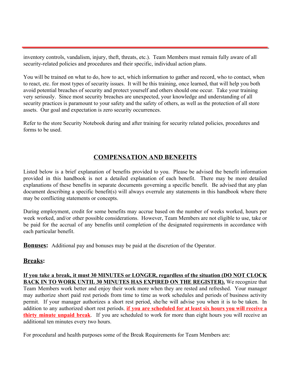inventory controls, vandalism, injury, theft, threats, etc.). Team Members must remain fully aware of all security-related policies and procedures and their specific, individual action plans.

You will be trained on what to do, how to act, which information to gather and record, who to contact, when to react, etc. for most types of security issues. It will be this training, once learned, that will help you both avoid potential breaches of security and protect yourself and others should one occur. Take your training very seriously. Since most security breaches are unexpected, your knowledge and understanding of all security practices is paramount to your safety and the safety of others, as well as the protection of all store assets. Our goal and expectation is zero security occurrences.

Refer to the store Security Notebook during and after training for security related policies, procedures and forms to be used.

## **COMPENSATION AND BENEFITS**

<span id="page-25-0"></span>Listed below is a brief explanation of benefits provided to you. Please be advised the benefit information provided in this handbook is not a detailed explanation of each benefit. There may be more detailed explanations of these benefits in separate documents governing a specific benefit. Be advised that any plan document describing a specific benefit(s) will always overrule any statements in this handbook where there may be conflicting statements or concepts.

During employment, credit for some benefits may accrue based on the number of weeks worked, hours per week worked, and/or other possible considerations. However, Team Members are not eligible to use, take or be paid for the accrual of any benefits until completion of the designated requirements in accordance with each particular benefit.

**Bonuses:** Additional pay and bonuses may be paid at the discretion of the Operator.

### **Breaks:**

**If you take a break, it must 30 MINUTES or LONGER, regardless of the situation (DO NOT CLOCK BACK IN TO WORK UNTIL 30 MINUTES HAS EXPIRED ON THE REGISTER).** We recognize that Team Members work better and enjoy their work more when they are rested and refreshed. Your manager may authorize short paid rest periods from time to time as work schedules and periods of business activity permit. If your manager authorizes a short rest period, she/he will advise you when it is to be taken. In addition to any authorized short rest periods, **if you are scheduled for at least six hours you will receive a thirty minute unpaid break**. If you are scheduled to work for more than eight hours you will receive an additional ten minutes every two hours.

For procedural and health purposes some of the Break Requirements for Team Members are: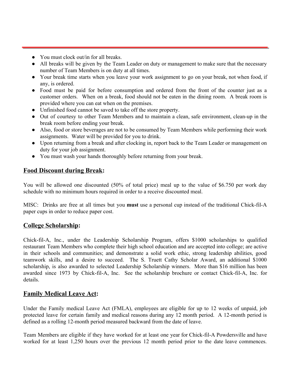- You must clock out/in for all breaks.
- All breaks will be given by the Team Leader on duty or management to make sure that the necessary number of Team Members is on duty at all times.
- Your break time starts when you leave your work assignment to go on your break, not when food, if any, is ordered.
- Food must be paid for before consumption and ordered from the front of the counter just as a customer orders. When on a break, food should not be eaten in the dining room. A break room is provided where you can eat when on the premises.
- Unfinished food cannot be saved to take off the store property.
- Out of courtesy to other Team Members and to maintain a clean, safe environment, clean-up in the break room before ending your break.
- Also, food or store beverages are not to be consumed by Team Members while performing their work assignments. Water will be provided for you to drink.
- Upon returning from a break and after clocking in, report back to the Team Leader or management on duty for your job assignment.
- You must wash your hands thoroughly before returning from your break.

## <span id="page-26-0"></span>**Food Discount during Break:**

You will be allowed one discounted (50% of total price) meal up to the value of \$6.750 per work day schedule with no minimum hours required in order to a receive discounted meal.

MISC: Drinks are free at all times but you **must** use a personal cup instead of the traditional Chick-fil-A paper cups in order to reduce paper cost.

## <span id="page-26-1"></span>**College Scholarship:**

Chick-fil-A, Inc., under the Leadership Scholarship Program, offers \$1000 scholarships to qualified restaurant Team Members who complete their high school education and are accepted into college; are active in their schools and communities; and demonstrate a solid work ethic, strong leadership abilities, good teamwork skills, and a desire to succeed. The S. Truett Cathy Scholar Award, an additional \$1000 scholarship, is also awarded to selected Leadership Scholarship winners. More than \$16 million has been awarded since 1973 by Chick-fil-A, Inc. See the scholarship brochure or contact Chick-fil-A, Inc. for details.

## <span id="page-26-2"></span>**Family Medical Leave Act:**

Under the Family medical Leave Act (FMLA), employees are eligible for up to 12 weeks of unpaid, job protected leave for certain family and medical reasons during any 12 month period. A 12-month period is defined as a rolling 12-month period measured backward from the date of leave.

Team Members are eligible if they have worked for at least one year for Chick-fil-A Powdersville and have worked for at least 1,250 hours over the previous 12 month period prior to the date leave commences.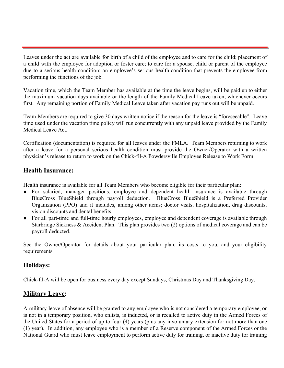Leaves under the act are available for birth of a child of the employee and to care for the child; placement of a child with the employee for adoption or foster care; to care for a spouse, child or parent of the employee due to a serious health condition; an employee's serious health condition that prevents the employee from performing the functions of the job.

Vacation time, which the Team Member has available at the time the leave begins, will be paid up to either the maximum vacation days available or the length of the Family Medical Leave taken, whichever occurs first. Any remaining portion of Family Medical Leave taken after vacation pay runs out will be unpaid.

Team Members are required to give 30 days written notice if the reason for the leave is "foreseeable". Leave time used under the vacation time policy will run concurrently with any unpaid leave provided by the Family Medical Leave Act.

Certification (documentation) is required for all leaves under the FMLA. Team Members returning to work after a leave for a personal serious health condition must provide the Owner/Operator with a written physician's release to return to work on the Chick-fil-A Powdersville Employee Release to Work Form.

## <span id="page-27-0"></span>**Health Insurance:**

Health insurance is available for all Team Members who become eligible for their particular plan:

- For salaried, manager positions, employee and dependent health insurance is available through BlueCross BlueShield through payroll deduction. BlueCross BlueShield is a Preferred Provider Organization (PPO) and it includes, among other items; doctor visits, hospitalization, drug discounts, vision discounts and dental benefits.
- For all part-time and full-time hourly employees, employee and dependent coverage is available through Starbridge Sickness & Accident Plan. This plan provides two (2) options of medical coverage and can be payroll deducted.

See the Owner/Operator for details about your particular plan, its costs to you, and your eligibility requirements.

## <span id="page-27-1"></span>**Holidays:**

Chick-fil-A will be open for business every day except Sundays, Christmas Day and Thanksgiving Day.

## <span id="page-27-2"></span>**Military Leave:**

A military leave of absence will be granted to any employee who is not considered a temporary employee, or is not in a temporary position, who enlists, is inducted, or is recalled to active duty in the Armed Forces of the United States for a period of up to four (4) years (plus any involuntary extension for not more than one (1) year). In addition, any employee who is a member of a Reserve component of the Armed Forces or the National Guard who must leave employment to perform active duty for training, or inactive duty for training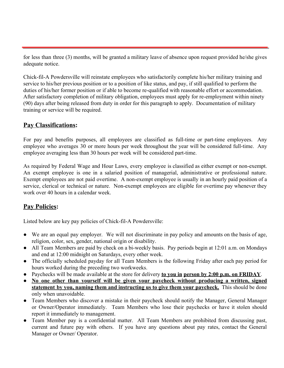for less than three (3) months, will be granted a military leave of absence upon request provided he/she gives adequate notice.

Chick-fil-A Powdersville will reinstate employees who satisfactorily complete his/her military training and service to his/her previous position or to a position of like status, and pay, if still qualified to perform the duties of his/her former position or if able to become re-qualified with reasonable effort or accommodation. After satisfactory completion of military obligation, employees must apply for re-employment within ninety (90) days after being released from duty in order for this paragraph to apply. Documentation of military training or service will be required.

## <span id="page-28-0"></span>**Pay Classifications:**

For pay and benefits purposes, all employees are classified as full-time or part-time employees. Any employee who averages 30 or more hours per week throughout the year will be considered full-time. Any employee averaging less than 30 hours per week will be considered part-time.

As required by Federal Wage and Hour Laws, every employee is classified as either exempt or non-exempt. An exempt employee is one in a salaried position of managerial, administrative or professional nature. Exempt employees are not paid overtime. A non-exempt employee is usually in an hourly paid position of a service, clerical or technical or nature. Non-exempt employees are eligible for overtime pay whenever they work over 40 hours in a calendar week.

## <span id="page-28-1"></span>**Pay Policies:**

Listed below are key pay policies of Chick-fil-A Powdersville:

- We are an equal pay employer. We will not discriminate in pay policy and amounts on the basis of age, religion, color, sex, gender, national origin or disability.
- All Team Members are paid by check on a bi-weekly basis. Pay periods begin at 12:01 a.m. on Mondays and end at 12:00 midnight on Saturdays, every other week.
- The officially scheduled payday for all Team Members is the following Friday after each pay period for hours worked during the preceding two workweeks.
- Paychecks will be made available at the store for delivery **to you in person by 2:00 p.m. on FRIDAY**.
- **No one other than yourself will be given your paycheck without producing a written, signed statement by you, naming them and instructing us to give them your paycheck.** This should be done only when unavoidable.
- Team Members who discover a mistake in their paycheck should notify the Manager, General Manager or Owner/Operator immediately. Team Members who lose their paychecks or have it stolen should report it immediately to management.
- Team Member pay is a confidential matter. All Team Members are prohibited from discussing past, current and future pay with others. If you have any questions about pay rates, contact the General Manager or Owner/ Operator.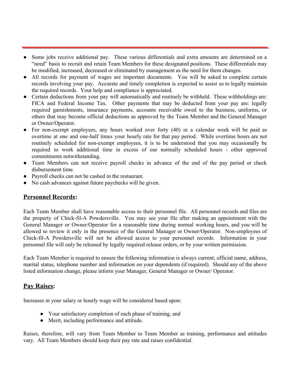- Some jobs receive additional pay. These various differentials and extra amounts are determined on a "need" basis to recruit and retain Team Members for these designated positions. These differentials may be modified, increased, decreased or eliminated by management as the need for them changes.
- All records for payment of wages are important documents. You will be asked to complete certain records involving your pay. Accurate and timely completion is expected to assist us to legally maintain the required records. Your help and compliance is appreciated.
- Certain deductions from your pay will automatically and routinely be withheld. These withholdings are: FICA and Federal Income Tax. Other payments that may be deducted from your pay are: legally required garnishments, insurance payments, accounts receivable owed to the business, uniforms, or others that may become official deductions as approved by the Team Member and the General Manager or Owner/Operator.
- For non-exempt employees, any hours worked over forty (40) in a calendar week will be paid as overtime at one and one-half times your hourly rate for that pay period. While overtime hours are not routinely scheduled for non-exempt employees, it is to be understood that you may occasionally be required to work additional time in excess of our normally scheduled hours - other approved commitments notwithstanding.
- Team Members can not receive payroll checks in advance of the end of the pay period or check disbursement time.
- Payroll checks can not be cashed in the restaurant.
- No cash advances against future paychecks will be given.

## <span id="page-29-0"></span>**Personnel Records:**

Each Team Member shall have reasonable access to their personnel file. All personnel records and files are the property of Chick-fil-A Powdersville. You may see your file after making an appointment with the General Manager or Owner/Operator for a reasonable time during normal working hours, and you will be allowed to review it only in the presence of the General Manager or Owner/Operator. Non-employees of Chick-fil-A Powdersville will not be allowed access to your personnel records. Information in your personnel file will only be released by legally required release orders, or by your written permission.

Each Team Member is required to ensure the following information is always current; official name, address, marital status, telephone number and information on your dependents (if required). Should any of the above listed information change, please inform your Manager, General Manager or Owner/ Operator.

## <span id="page-29-1"></span>**Pay Raises:**

Increases in your salary or hourly wage will be considered based upon:

- Your satisfactory completion of each phase of training, and
- Merit, including performance and attitude.

Raises, therefore, will vary from Team Member to Team Member as training, performance and attitudes vary. All Team Members should keep their pay rate and raises confidential.